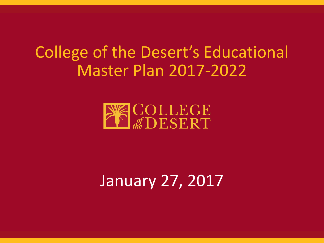## College of the Desert's Educational Master Plan 2017-2022



## January 27, 2017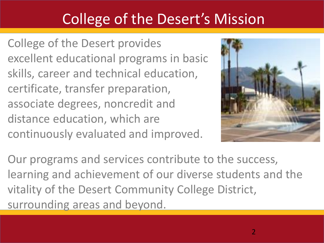### College of the Desert's Mission

College of the Desert provides excellent educational programs in basic skills, career and technical education, certificate, transfer preparation, associate degrees, noncredit and distance education, which are continuously evaluated and improved.



Our programs and services contribute to the success, learning and achievement of our diverse students and the vitality of the Desert Community College District, surrounding areas and beyond.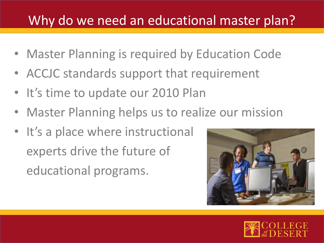### Why do we need an educational master plan?

- Master Planning is required by Education Code
- ACCJC standards support that requirement
- It's time to update our 2010 Plan
- Master Planning helps us to realize our mission
- It's a place where instructional experts drive the future of educational programs.



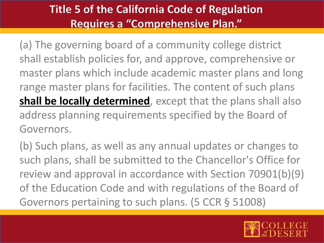### **Title 5 of the California Code of Regulation Requires a "Comprehensive Plan."**

(a) The governing board of a community college district shall establish policies for, and approve, comprehensive or master plans which include academic master plans and long range master plans for facilities. The content of such plans **shall be locally determined**, except that the plans shall also address planning requirements specified by the Board of Governors.

(b) Such plans, as well as any annual updates or changes to such plans, shall be submitted to the Chancellor's Office for review and approval in accordance with Section 70901(b)(9) of the Education Code and with regulations of the Board of Governors pertaining to such plans. (5 CCR § 51008)

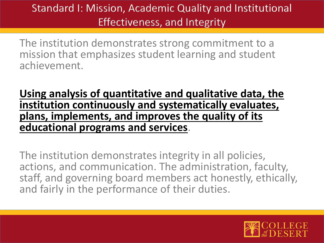### Standard I: Mission, Academic Quality and Institutional Effectiveness, and Integrity

The institution demonstrates strong commitment to a mission that emphasizes student learning and student achievement.

### **Using analysis of quantitative and qualitative data, the institution continuously and systematically evaluates, plans, implements, and improves the quality of its educational programs and services**.

The institution demonstrates integrity in all policies, actions, and communication. The administration, faculty, staff, and governing board members act honestly, ethically, and fairly in the performance of their duties.

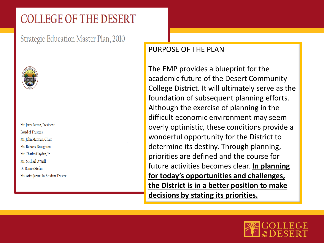### **COLLEGE OF THE DESERT**

Strategic Education Master Plan, 2010



Mr. Jerry Patton, President **Board of Trustees** Mr. John Marman, Chair Ms. Rebecca Broughton Mr. Charles Hayden, Jr. Mr. Michael O'Neill Dr. Bonnie Stefan Ms. Aries Jaramillo, Student Trustee

#### PURPOSE OF THE PLAN

The EMP provides a blueprint for the academic future of the Desert Community College District. It will ultimately serve as the foundation of subsequent planning efforts. Although the exercise of planning in the difficult economic environment may seem overly optimistic, these conditions provide a wonderful opportunity for the District to determine its destiny. Through planning, priorities are defined and the course for future activities becomes clear. **In planning for today's opportunities and challenges, the District is in a better position to make decisions by stating its priorities.** 

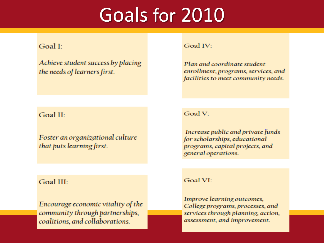# Goals for 2010

#### Goal I:

Achieve student success by placing the needs of learners first.

#### Goal II:

Foster an organizational culture that puts learning first.

#### Goal III:

Encourage economic vitality of the community through partnerships, coalitions, and collaborations.

#### Goal IV:

Plan and coordinate student enrollment, programs, services, and facilities to meet community needs.

Goal V:

Increase public and private funds for scholarships, educational programs, capital projects, and general operations.

Goal VI:

Improve learning outcomes, College programs, processes, and services through planning, action, assessment, and improvement.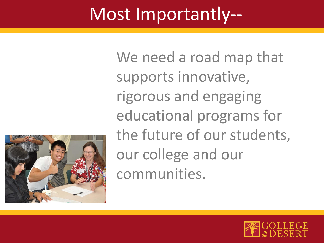# Most Importantly--



We need a road map that supports innovative, rigorous and engaging educational programs for the future of our students, our college and our communities.

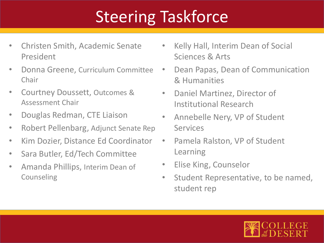# Steering Taskforce

- Christen Smith, Academic Senate President
- Donna Greene, Curriculum Committee Chair
- Courtney Doussett, Outcomes & Assessment Chair
- Douglas Redman, CTE Liaison
- Robert Pellenbarg, Adjunct Senate Rep
- Kim Dozier, Distance Ed Coordinator
- Sara Butler, Ed/Tech Committee
- Amanda Phillips, Interim Dean of Counseling
- Kelly Hall, Interim Dean of Social Sciences & Arts
- Dean Papas, Dean of Communication & Humanities
- Daniel Martinez, Director of Institutional Research
- Annebelle Nery, VP of Student Services
- Pamela Ralston, VP of Student Learning
- Elise King, Counselor
- Student Representative, to be named, student rep

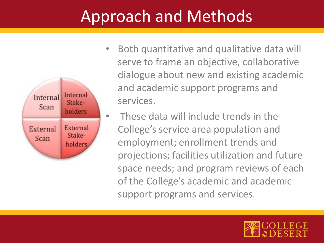## Approach and Methods



- Both quantitative and qualitative data will serve to frame an objective, collaborative dialogue about new and existing academic and academic support programs and services.
- These data will include trends in the College's service area population and employment; enrollment trends and projections; facilities utilization and future space needs; and program reviews of each of the College's academic and academic support programs and services.

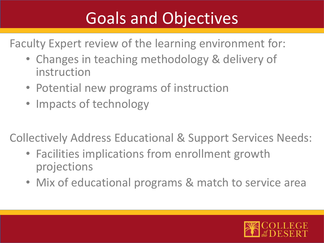## Goals and Objectives

Faculty Expert review of the learning environment for:

- Changes in teaching methodology & delivery of instruction
- Potential new programs of instruction
- Impacts of technology

Collectively Address Educational & Support Services Needs:

- Facilities implications from enrollment growth projections
- Mix of educational programs & match to service area

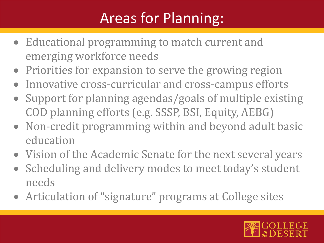### Areas for Planning:

- Educational programming to match current and emerging workforce needs
- Priorities for expansion to serve the growing region
- Innovative cross-curricular and cross-campus efforts
- Support for planning agendas/goals of multiple existing COD planning efforts (e.g. SSSP, BSI, Equity, AEBG)
- Non-credit programming within and beyond adult basic education
- Vision of the Academic Senate for the next several years
- Scheduling and delivery modes to meet today's student needs
- Articulation of "signature" programs at College sites

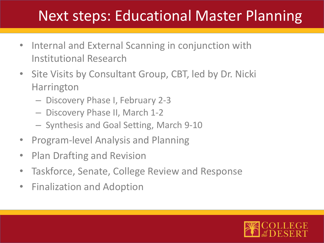### Next steps: Educational Master Planning

- Internal and External Scanning in conjunction with Institutional Research
- Site Visits by Consultant Group, CBT, led by Dr. Nicki Harrington
	- Discovery Phase I, February 2-3
	- Discovery Phase II, March 1-2
	- Synthesis and Goal Setting, March 9-10
- Program-level Analysis and Planning
- Plan Drafting and Revision
- Taskforce, Senate, College Review and Response
- Finalization and Adoption